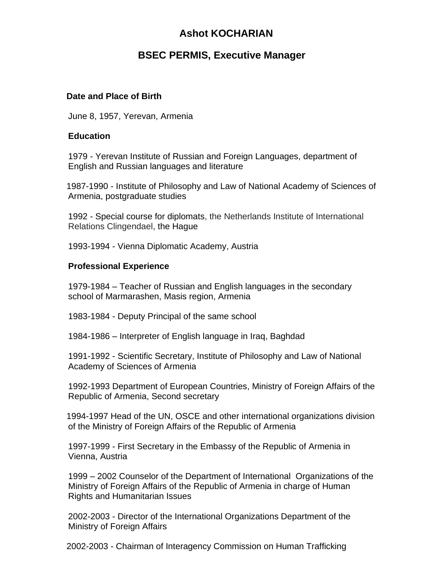# **Ashot KOCHARIAN**

# **BSEC PERMIS, Executive Manager**

#### **Date and Place of Birth**

June 8, 1957, Yerevan, Armenia

#### **Education**

1979 - Yerevan Institute of Russian and Foreign Languages, department of English and Russian languages and literature

1987-1990 - Institute of Philosophy and Law of National Academy of Sciences of Armenia, postgraduate studies

1992 - Special course for diplomats, the Netherlands Institute of International Relations Clingendael, the Hague

1993-1994 - Vienna Diplomatic Academy, Austria

#### **Professional Experience**

1979-1984 – Teacher of Russian and English languages in the secondary school of Marmarashen, Masis region, Armenia

1983-1984 - Deputy Principal of the same school

1984-1986 – Interpreter of English language in Iraq, Baghdad

1991-1992 - Scientific Secretary, Institute of Philosophy and Law of National Academy of Sciences of Armenia

1992-1993 Department of European Countries, Ministry of Foreign Affairs of the Republic of Armenia, Second secretary

1994-1997 Head of the UN, OSCE and other international organizations division of the Ministry of Foreign Affairs of the Republic of Armenia

1997-1999 - First Secretary in the Embassy of the Republic of Armenia in Vienna, Austria

1999 – 2002 Counselor of the Department of International Organizations of the Ministry of Foreign Affairs of the Republic of Armenia in charge of Human Rights and Humanitarian Issues

2002-2003 - Director of the International Organizations Department of the Ministry of Foreign Affairs

2002-2003 - Chairman of Interagency Commission on Human Trafficking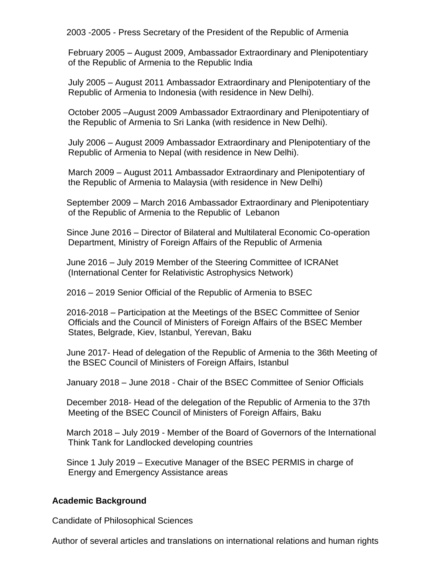2003 -2005 - Press Secretary of the President of the Republic of Armenia

February 2005 – August 2009, Ambassador Extraordinary and Plenipotentiary of the Republic of Armenia to the Republic India

July 2005 – August 2011 Ambassador Extraordinary and Plenipotentiary of the Republic of Armenia to Indonesia (with residence in New Delhi).

October 2005 –August 2009 Ambassador Extraordinary and Plenipotentiary of the Republic of Armenia to Sri Lanka (with residence in New Delhi).

July 2006 – August 2009 Ambassador Extraordinary and Plenipotentiary of the Republic of Armenia to Nepal (with residence in New Delhi).

March 2009 – August 2011 Ambassador Extraordinary and Plenipotentiary of the Republic of Armenia to Malaysia (with residence in New Delhi)

September 2009 – March 2016 Ambassador Extraordinary and Plenipotentiary of the Republic of Armenia to the Republic of Lebanon

Since June 2016 – Director of Bilateral and Multilateral Economic Co-operation Department, Ministry of Foreign Affairs of the Republic of Armenia

June 2016 – July 2019 Member of the Steering Committee of ICRANet (International Center for Relativistic Astrophysics Network)

2016 – 2019 Senior Official of the Republic of Armenia to BSEC

2016-2018 – Participation at the Meetings of the BSEC Committee of Senior Officials and the Council of Ministers of Foreign Affairs of the BSEC Member States, Belgrade, Kiev, Istanbul, Yerevan, Baku

June 2017- Head of delegation of the Republic of Armenia to the 36th Meeting of the BSEC Council of Ministers of Foreign Affairs, Istanbul

January 2018 – June 2018 - Chair of the BSEC Committee of Senior Officials

December 2018- Head of the delegation of the Republic of Armenia to the 37th Meeting of the BSEC Council of Ministers of Foreign Affairs, Baku

March 2018 – July 2019 - Member of the Board of Governors of the International Think Tank for Landlocked developing countries

Since 1 July 2019 – Executive Manager of the BSEC PERMIS in charge of Energy and Emergency Assistance areas

## **Academic Background**

Candidate of Philosophical Sciences

Author of several articles and translations on international relations and human rights